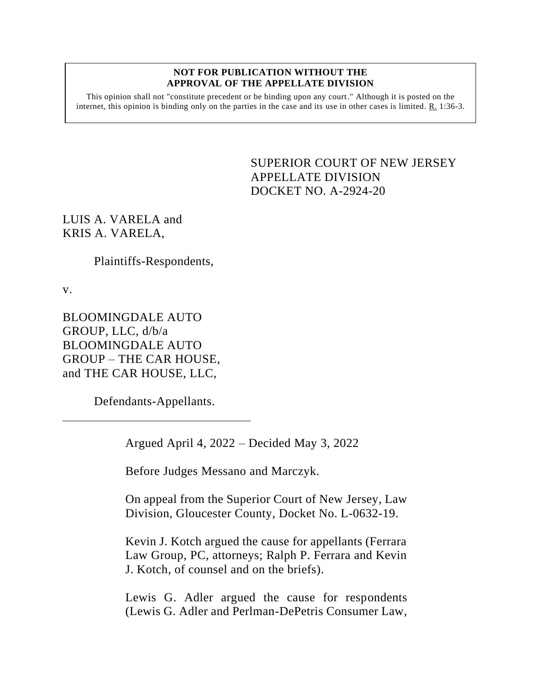#### **NOT FOR PUBLICATION WITHOUT THE APPROVAL OF THE APPELLATE DIVISION**

This opinion shall not "constitute precedent or be binding upon any court." Although it is posted on the internet, this opinion is binding only on the parties in the case and its use in other cases is limited.  $R_1$  1:36-3.

> SUPERIOR COURT OF NEW JERSEY APPELLATE DIVISION DOCKET NO. A-2924-20

LUIS A. VARELA and KRIS A. VARELA,

Plaintiffs-Respondents,

v.

BLOOMINGDALE AUTO GROUP, LLC, d/b/a BLOOMINGDALE AUTO GROUP – THE CAR HOUSE, and THE CAR HOUSE, LLC,

Defendants-Appellants.

Argued April 4, 2022 – Decided May 3, 2022

Before Judges Messano and Marczyk.

On appeal from the Superior Court of New Jersey, Law Division, Gloucester County, Docket No. L-0632-19.

Kevin J. Kotch argued the cause for appellants (Ferrara Law Group, PC, attorneys; Ralph P. Ferrara and Kevin J. Kotch, of counsel and on the briefs).

Lewis G. Adler argued the cause for respondents (Lewis G. Adler and Perlman-DePetris Consumer Law,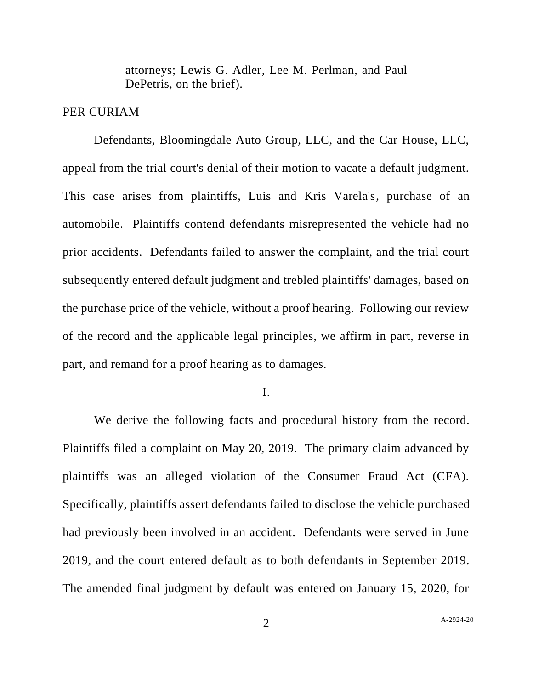attorneys; Lewis G. Adler, Lee M. Perlman, and Paul DePetris, on the brief).

## PER CURIAM

Defendants, Bloomingdale Auto Group, LLC, and the Car House, LLC, appeal from the trial court's denial of their motion to vacate a default judgment. This case arises from plaintiffs, Luis and Kris Varela's, purchase of an automobile. Plaintiffs contend defendants misrepresented the vehicle had no prior accidents. Defendants failed to answer the complaint, and the trial court subsequently entered default judgment and trebled plaintiffs' damages, based on the purchase price of the vehicle, without a proof hearing. Following our review of the record and the applicable legal principles, we affirm in part, reverse in part, and remand for a proof hearing as to damages.

I.

We derive the following facts and procedural history from the record. Plaintiffs filed a complaint on May 20, 2019. The primary claim advanced by plaintiffs was an alleged violation of the Consumer Fraud Act (CFA). Specifically, plaintiffs assert defendants failed to disclose the vehicle purchased had previously been involved in an accident. Defendants were served in June 2019, and the court entered default as to both defendants in September 2019. The amended final judgment by default was entered on January 15, 2020, for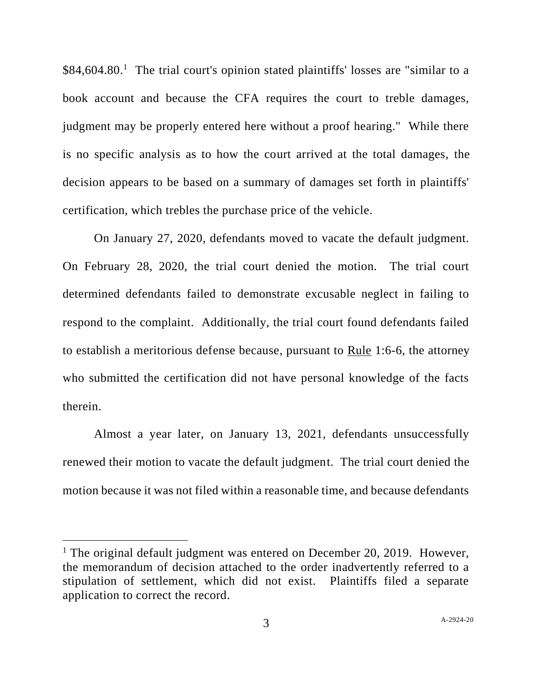\$84,604.80.<sup>1</sup> The trial court's opinion stated plaintiffs' losses are "similar to a book account and because the CFA requires the court to treble damages, judgment may be properly entered here without a proof hearing." While there is no specific analysis as to how the court arrived at the total damages, the decision appears to be based on a summary of damages set forth in plaintiffs' certification, which trebles the purchase price of the vehicle.

On January 27, 2020, defendants moved to vacate the default judgment. On February 28, 2020, the trial court denied the motion. The trial court determined defendants failed to demonstrate excusable neglect in failing to respond to the complaint. Additionally, the trial court found defendants failed to establish a meritorious defense because, pursuant to  $Rule 1:6-6$ , the attorney who submitted the certification did not have personal knowledge of the facts therein.

Almost a year later, on January 13, 2021, defendants unsuccessfully renewed their motion to vacate the default judgment. The trial court denied the motion because it was not filed within a reasonable time, and because defendants

<sup>&</sup>lt;sup>1</sup> The original default judgment was entered on December 20, 2019. However, the memorandum of decision attached to the order inadvertently referred to a stipulation of settlement, which did not exist. Plaintiffs filed a separate application to correct the record.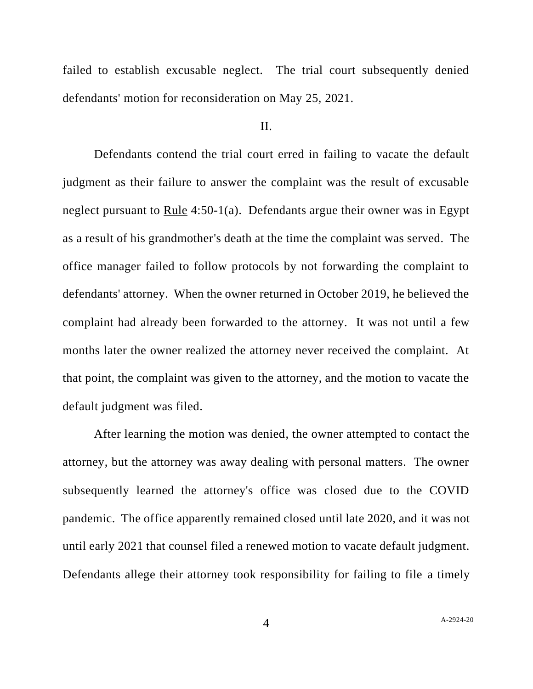failed to establish excusable neglect. The trial court subsequently denied defendants' motion for reconsideration on May 25, 2021.

#### II.

Defendants contend the trial court erred in failing to vacate the default judgment as their failure to answer the complaint was the result of excusable neglect pursuant to Rule 4:50-1(a). Defendants argue their owner was in Egypt as a result of his grandmother's death at the time the complaint was served. The office manager failed to follow protocols by not forwarding the complaint to defendants' attorney. When the owner returned in October 2019, he believed the complaint had already been forwarded to the attorney. It was not until a few months later the owner realized the attorney never received the complaint. At that point, the complaint was given to the attorney, and the motion to vacate the default judgment was filed.

After learning the motion was denied, the owner attempted to contact the attorney, but the attorney was away dealing with personal matters. The owner subsequently learned the attorney's office was closed due to the COVID pandemic. The office apparently remained closed until late 2020, and it was not until early 2021 that counsel filed a renewed motion to vacate default judgment. Defendants allege their attorney took responsibility for failing to file a timely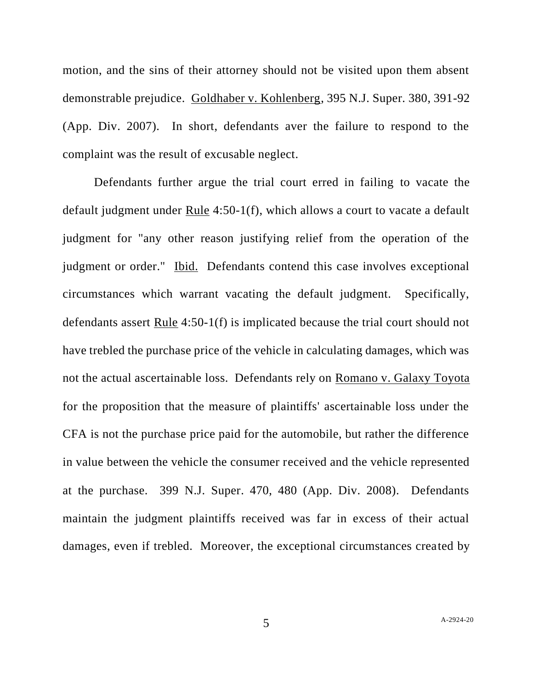motion, and the sins of their attorney should not be visited upon them absent demonstrable prejudice. Goldhaber v. Kohlenberg, 395 N.J. Super. 380, 391-92 (App. Div. 2007). In short, defendants aver the failure to respond to the complaint was the result of excusable neglect.

Defendants further argue the trial court erred in failing to vacate the default judgment under Rule 4:50-1(f), which allows a court to vacate a default judgment for "any other reason justifying relief from the operation of the judgment or order." Ibid. Defendants contend this case involves exceptional circumstances which warrant vacating the default judgment. Specifically, defendants assert Rule 4:50-1(f) is implicated because the trial court should not have trebled the purchase price of the vehicle in calculating damages, which was not the actual ascertainable loss. Defendants rely on Romano v. Galaxy Toyota for the proposition that the measure of plaintiffs' ascertainable loss under the CFA is not the purchase price paid for the automobile, but rather the difference in value between the vehicle the consumer received and the vehicle represented at the purchase. 399 N.J. Super. 470, 480 (App. Div. 2008). Defendants maintain the judgment plaintiffs received was far in excess of their actual damages, even if trebled. Moreover, the exceptional circumstances created by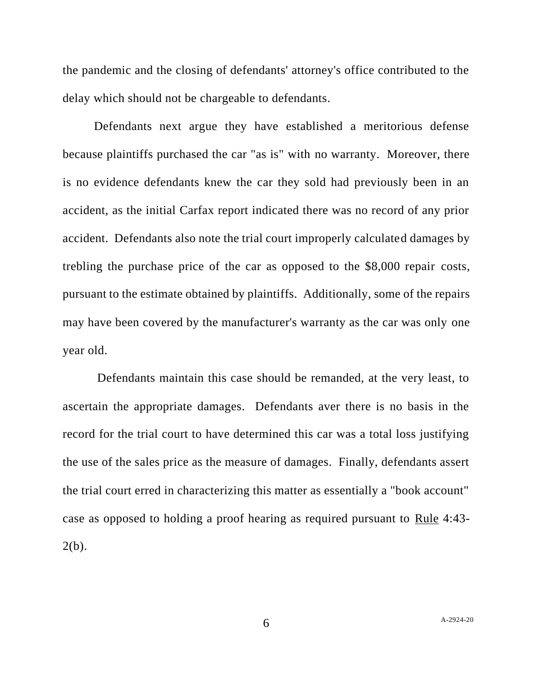the pandemic and the closing of defendants' attorney's office contributed to the delay which should not be chargeable to defendants.

Defendants next argue they have established a meritorious defense because plaintiffs purchased the car "as is" with no warranty. Moreover, there is no evidence defendants knew the car they sold had previously been in an accident, as the initial Carfax report indicated there was no record of any prior accident. Defendants also note the trial court improperly calculated damages by trebling the purchase price of the car as opposed to the \$8,000 repair costs, pursuant to the estimate obtained by plaintiffs. Additionally, some of the repairs may have been covered by the manufacturer's warranty as the car was only one year old.

Defendants maintain this case should be remanded, at the very least, to ascertain the appropriate damages. Defendants aver there is no basis in the record for the trial court to have determined this car was a total loss justifying the use of the sales price as the measure of damages. Finally, defendants assert the trial court erred in characterizing this matter as essentially a "book account" case as opposed to holding a proof hearing as required pursuant to Rule 4:43-  $2(b)$ .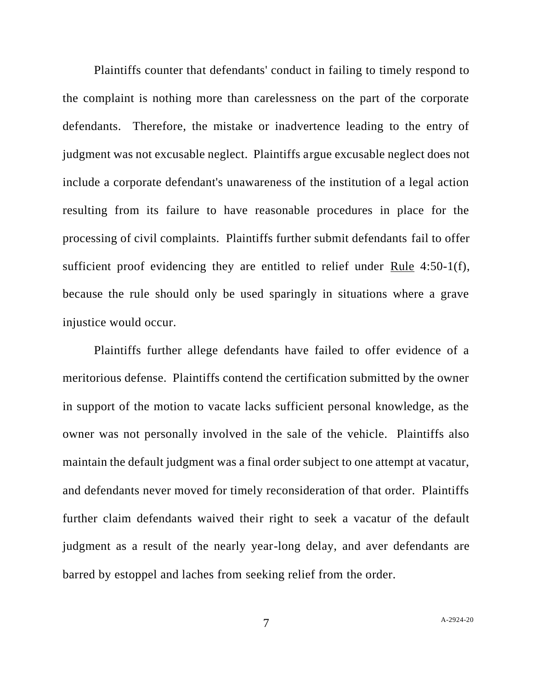Plaintiffs counter that defendants' conduct in failing to timely respond to the complaint is nothing more than carelessness on the part of the corporate defendants. Therefore, the mistake or inadvertence leading to the entry of judgment was not excusable neglect. Plaintiffs argue excusable neglect does not include a corporate defendant's unawareness of the institution of a legal action resulting from its failure to have reasonable procedures in place for the processing of civil complaints. Plaintiffs further submit defendants fail to offer sufficient proof evidencing they are entitled to relief under Rule 4:50-1(f), because the rule should only be used sparingly in situations where a grave injustice would occur.

Plaintiffs further allege defendants have failed to offer evidence of a meritorious defense. Plaintiffs contend the certification submitted by the owner in support of the motion to vacate lacks sufficient personal knowledge, as the owner was not personally involved in the sale of the vehicle. Plaintiffs also maintain the default judgment was a final order subject to one attempt at vacatur, and defendants never moved for timely reconsideration of that order. Plaintiffs further claim defendants waived their right to seek a vacatur of the default judgment as a result of the nearly year-long delay, and aver defendants are barred by estoppel and laches from seeking relief from the order.

7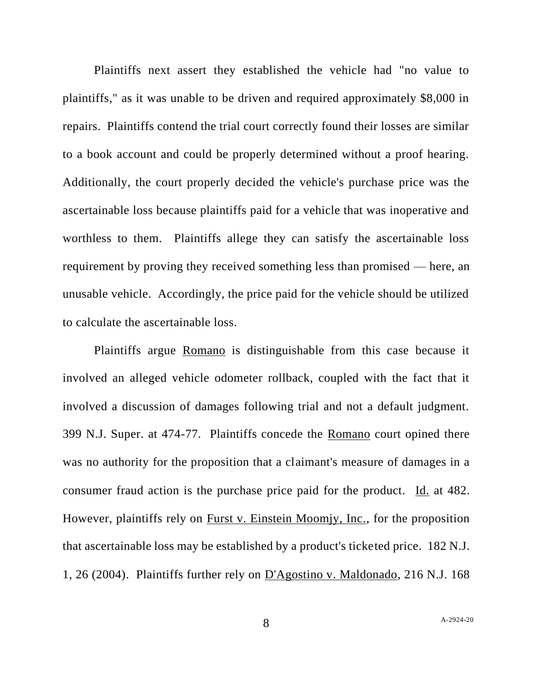Plaintiffs next assert they established the vehicle had "no value to plaintiffs," as it was unable to be driven and required approximately \$8,000 in repairs. Plaintiffs contend the trial court correctly found their losses are similar to a book account and could be properly determined without a proof hearing. Additionally, the court properly decided the vehicle's purchase price was the ascertainable loss because plaintiffs paid for a vehicle that was inoperative and worthless to them. Plaintiffs allege they can satisfy the ascertainable loss requirement by proving they received something less than promised — here, an unusable vehicle. Accordingly, the price paid for the vehicle should be utilized to calculate the ascertainable loss.

Plaintiffs argue Romano is distinguishable from this case because it involved an alleged vehicle odometer rollback, coupled with the fact that it involved a discussion of damages following trial and not a default judgment. 399 N.J. Super. at 474-77. Plaintiffs concede the Romano court opined there was no authority for the proposition that a claimant's measure of damages in a consumer fraud action is the purchase price paid for the product. Id. at 482. However, plaintiffs rely on Furst v. Einstein Moomjy, Inc., for the proposition that ascertainable loss may be established by a product's ticketed price. 182 N.J. 1, 26 (2004). Plaintiffs further rely on D'Agostino v. Maldonado, 216 N.J. 168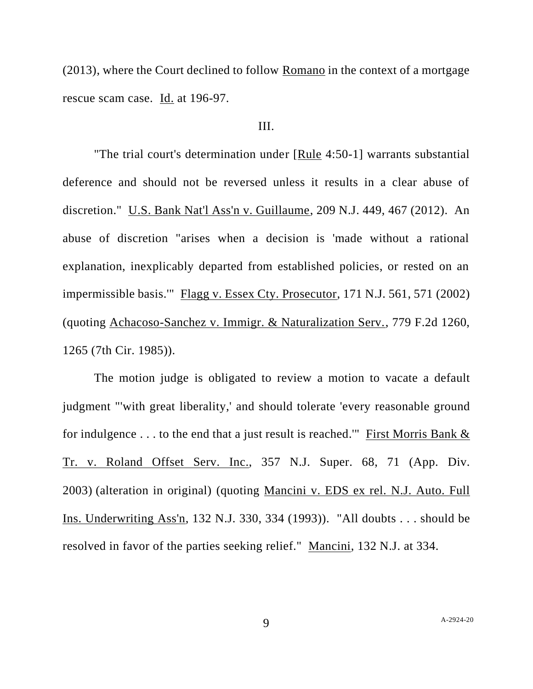(2013), where the Court declined to follow Romano in the context of a mortgage rescue scam case. Id. at 196-97.

# III.

"The trial court's determination under [Rule 4:50-1] warrants substantial deference and should not be reversed unless it results in a clear abuse of discretion." U.S. Bank Nat'l Ass'n v. Guillaume, 209 N.J. 449, 467 (2012). An abuse of discretion "arises when a decision is 'made without a rational explanation, inexplicably departed from established policies, or rested on an impermissible basis.'" Flagg v. Essex Cty. Prosecutor, 171 N.J. 561, 571 (2002) (quoting Achacoso-Sanchez v. Immigr. & Naturalization Serv., 779 F.2d 1260, 1265 (7th Cir. 1985)).

The motion judge is obligated to review a motion to vacate a default judgment "'with great liberality,' and should tolerate 'every reasonable ground for indulgence . . . to the end that a just result is reached." First [Morris](https://advance.lexis.com/search/?pdmfid=1000516&crid=20d810f7-ff51-4f59-a326-0e41dbef1020&pdsearchterms=Parra+v.+Guzman%2C+2021+N.J.+Super.+Unpub.+LEXIS+2080&pdstartin=hlct%3A1%3A3&pdcaseshlctselectedbyuser=false&pdtypeofsearch=searchboxclick&pdsearchtype=SearchBox&pdqttype=and&pdsf=&pdquerytemplateid=urn%3Aquerytemplate%3Ad57af7921baf7daf430b65b52c003dc5~%5ENJ&ecomp=qbvpk&earg=pdsf&prid=3eddbe2c-e139-4eda-bdc1-f7f6273b1041) Bank  $\&$ Tr. v. [Roland](https://advance.lexis.com/search/?pdmfid=1000516&crid=20d810f7-ff51-4f59-a326-0e41dbef1020&pdsearchterms=Parra+v.+Guzman%2C+2021+N.J.+Super.+Unpub.+LEXIS+2080&pdstartin=hlct%3A1%3A3&pdcaseshlctselectedbyuser=false&pdtypeofsearch=searchboxclick&pdsearchtype=SearchBox&pdqttype=and&pdsf=&pdquerytemplateid=urn%3Aquerytemplate%3Ad57af7921baf7daf430b65b52c003dc5~%5ENJ&ecomp=qbvpk&earg=pdsf&prid=3eddbe2c-e139-4eda-bdc1-f7f6273b1041) Offset Serv. Inc., 357 N.J. Super. 68, 71 (App. Div. [2003\)](https://advance.lexis.com/search/?pdmfid=1000516&crid=20d810f7-ff51-4f59-a326-0e41dbef1020&pdsearchterms=Parra+v.+Guzman%2C+2021+N.J.+Super.+Unpub.+LEXIS+2080&pdstartin=hlct%3A1%3A3&pdcaseshlctselectedbyuser=false&pdtypeofsearch=searchboxclick&pdsearchtype=SearchBox&pdqttype=and&pdsf=&pdquerytemplateid=urn%3Aquerytemplate%3Ad57af7921baf7daf430b65b52c003dc5~%5ENJ&ecomp=qbvpk&earg=pdsf&prid=3eddbe2c-e139-4eda-bdc1-f7f6273b1041) (alteration in original) (quoting Mancini v. EDS ex rel. N.J. Auto. Full Ins. Underwriting Ass'n, 132 N.J. 330, 334 (1993)). "All doubts . . . should be resolved in favor of the parties seeking relief." Mancini, 132 N.J. at 334.

9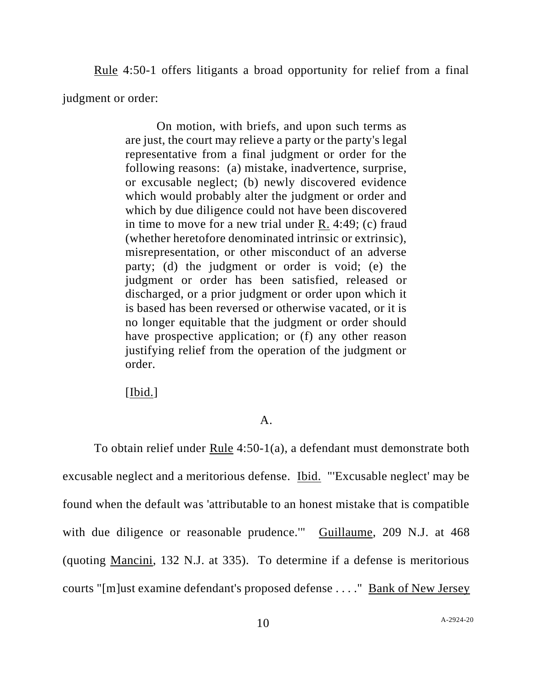Rule 4:50-1 offers litigants a broad opportunity for relief from a final judgment or order:

> On motion, with briefs, and upon such terms as are just, the court may relieve a party or the party's legal representative from a final judgment or order for the following reasons: (a) mistake, inadvertence, surprise, or excusable neglect; (b) newly discovered evidence which would probably alter the judgment or order and which by due diligence could not have been discovered in time to move for a new trial under R. 4:49; (c) fraud (whether heretofore denominated intrinsic or extrinsic), misrepresentation, or other misconduct of an adverse party; (d) the judgment or order is void; (e) the judgment or order has been satisfied, released or discharged, or a prior judgment or order upon which it is based has been reversed or otherwise vacated, or it is no longer equitable that the judgment or order should have prospective application; or (f) any other reason justifying relief from the operation of the judgment or order.

[Ibid.]

### A.

To obtain relief under Rule 4:50-1(a), a defendant must demonstrate both excusable neglect and a meritorious defense. Ibid. "'Excusable neglect' may be found when the default was 'attributable to an honest mistake that is compatible with due diligence or reasonable prudence." Guillaume, 209 N.J. at 468 (quoting Mancini, 132 N.J. at 335). To determine if a defense is meritorious courts "[m]ust examine defendant's proposed defense . . . ." Bank of New Jersey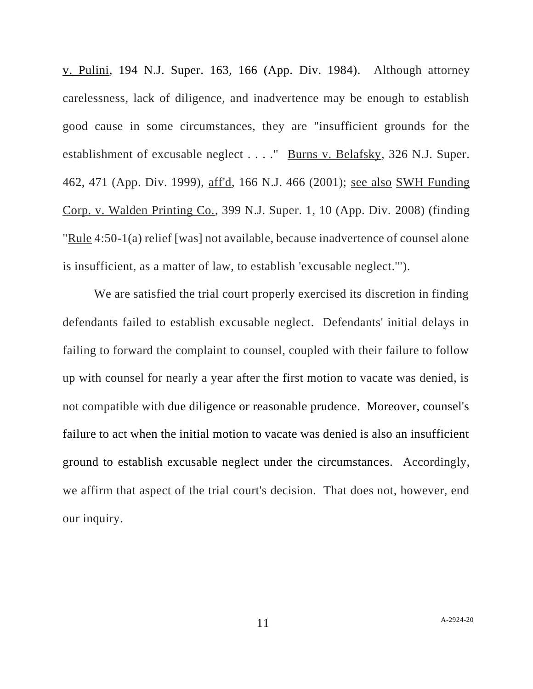v. Pulini, 194 N.J. Super. 163, 166 (App. Div. 1984). Although attorney carelessness, lack of diligence, and inadvertence may be enough to establish good cause in some circumstances, they are "insufficient grounds for the establishment of excusable neglect . . . ." Burns v. Belafsky, 326 N.J. Super. 462, 471 (App. Div. 1999), aff'd, 166 N.J. 466 (2001); see also SWH Funding Corp. v. Walden Printing Co., 399 N.J. Super. 1, 10 (App. Div. 2008) (finding "Rule 4:50-1(a) relief [was] not available, because inadvertence of counsel alone is insufficient, as a matter of law, to establish 'excusable neglect.'").

We are satisfied the trial court properly exercised its discretion in finding defendants failed to establish excusable neglect. Defendants' initial delays in failing to forward the complaint to counsel, coupled with their failure to follow up with counsel for nearly a year after the first motion to vacate was denied, is not compatible with due diligence or reasonable prudence. Moreover, counsel's failure to act when the initial motion to vacate was denied is also an insufficient ground to establish excusable neglect under the circumstances. Accordingly, we affirm that aspect of the trial court's decision. That does not, however, end our inquiry.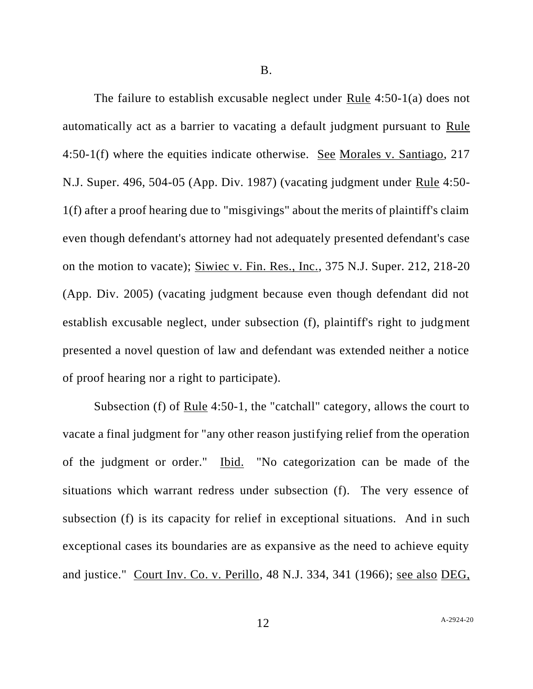B.

The failure to establish excusable neglect under Rule 4:50-1(a) does not automatically act as a barrier to vacating a default judgment pursuant to Rule 4:50-1(f) where the equities indicate otherwise. See Morales v. Santiago, 217 N.J. Super. 496, 504-05 (App. Div. 1987) (vacating judgment under Rule 4:50- 1(f) after a proof hearing due to "misgivings" about the merits of plaintiff's claim even though defendant's attorney had not adequately presented defendant's case on the motion to vacate); Siwiec v. Fin. Res., Inc., 375 N.J. Super. 212, 218-20 (App. Div. 2005) (vacating judgment because even though defendant did not establish excusable neglect, under subsection (f), plaintiff's right to judgment presented a novel question of law and defendant was extended neither a notice of proof hearing nor a right to participate).

Subsection (f) of Rule 4:50-1, the "catchall" category, allows the court to vacate a final judgment for "any other reason justifying relief from the operation of the judgment or order." Ibid. "No categorization can be made of the situations which warrant redress under subsection (f). The very essence of subsection (f) is its capacity for relief in exceptional situations. And in such exceptional cases its boundaries are as expansive as the need to achieve equity and justice." Court Inv. Co. v. Perillo, 48 N.J. 334, 341 (1966); see also DEG,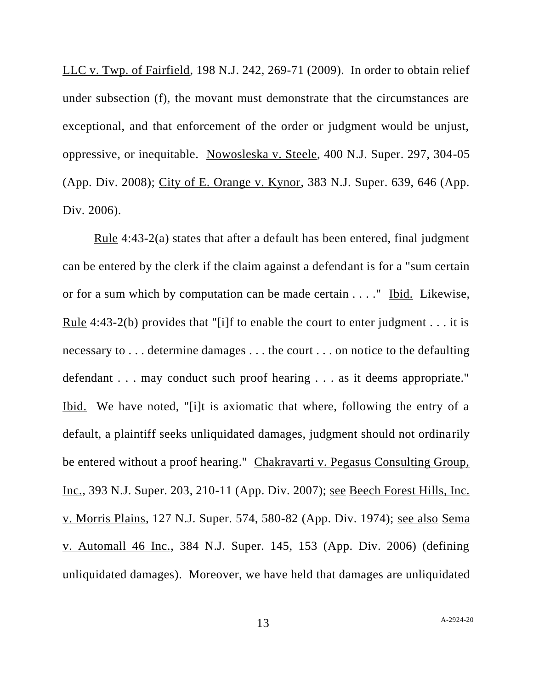LLC v. Twp. of Fairfield, 198 N.J. 242, 269-71 (2009). In order to obtain relief under subsection (f), the movant must demonstrate that the circumstances are exceptional, and that enforcement of the order or judgment would be unjust, oppressive, or inequitable. Nowosleska v. Steele, 400 N.J. Super. 297, 304-05 (App. Div. 2008); City of E. Orange v. Kynor, 383 N.J. Super. 639, 646 (App. Div. 2006).

Rule 4:43-2(a) states that after a default has been entered, final judgment can be entered by the clerk if the claim against a defendant is for a "sum certain or for a sum which by computation can be made certain . . . ." Ibid. Likewise, Rule 4:43-2(b) provides that "[i]f to enable the court to enter judgment . . . it is necessary to . . . determine damages . . . the court . . . on notice to the defaulting defendant . . . may conduct such proof hearing . . . as it deems appropriate." Ibid. We have noted, "[i]t is axiomatic that where, following the entry of a default, a plaintiff seeks unliquidated damages, judgment should not ordinarily be entered without a proof hearing." Chakravarti v. Pegasus Consulting Group, Inc., 393 N.J. Super. 203, 210-11 (App. Div. 2007); see Beech Forest Hills, Inc. v. Morris Plains, 127 N.J. Super. 574, 580-82 (App. Div. 1974); see also Sema v. Automall 46 Inc., 384 N.J. Super. 145, 153 (App. Div. 2006) (defining unliquidated damages). Moreover, we have held that damages are unliquidated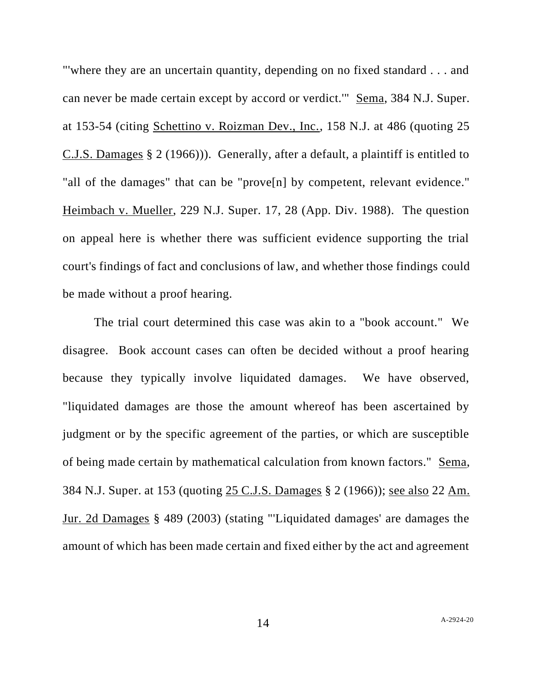"'where they are an uncertain quantity, depending on no fixed standard . . . and can never be made certain except by accord or verdict.'" Sema, 384 N.J. Super. at 153-54 (citing Schettino v. Roizman Dev., Inc., 158 N.J. at 486 (quoting 25 C.J.S. Damages § 2 (1966))). Generally, after a default, a plaintiff is entitled to "all of the damages" that can be "prove[n] by competent, relevant evidence." Heimbach v. Mueller, 229 N.J. Super. 17, 28 (App. Div. 1988). The question on appeal here is whether there was sufficient evidence supporting the trial court's findings of fact and conclusions of law, and whether those findings could be made without a proof hearing.

The trial court determined this case was akin to a "book account." We disagree. Book account cases can often be decided without a proof hearing because they typically involve liquidated damages. We have observed, "liquidated damages are those the amount whereof has been ascertained by judgment or by the specific agreement of the parties, or which are susceptible of being made certain by mathematical calculation from known factors." Sema, 384 N.J. Super. at 153 (quoting 25 C.J.S. Damages § 2 (1966)); see also 22 Am. Jur. 2d Damages § 489 (2003) (stating "'Liquidated damages' are damages the amount of which has been made certain and fixed either by the act and agreement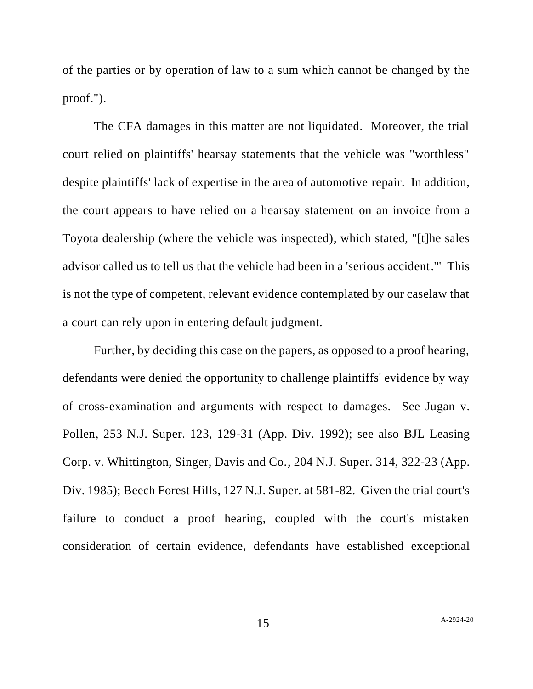of the parties or by operation of law to a sum which cannot be changed by the proof.").

The CFA damages in this matter are not liquidated. Moreover, the trial court relied on plaintiffs' hearsay statements that the vehicle was "worthless" despite plaintiffs' lack of expertise in the area of automotive repair. In addition, the court appears to have relied on a hearsay statement on an invoice from a Toyota dealership (where the vehicle was inspected), which stated, "[t]he sales advisor called us to tell us that the vehicle had been in a 'serious accident.'" This is not the type of competent, relevant evidence contemplated by our caselaw that a court can rely upon in entering default judgment.

Further, by deciding this case on the papers, as opposed to a proof hearing, defendants were denied the opportunity to challenge plaintiffs' evidence by way of cross-examination and arguments with respect to damages. See Jugan v. Pollen, 253 N.J. Super. 123, 129-31 (App. Div. 1992); see also BJL Leasing Corp. v. Whittington, Singer, Davis and Co., 204 N.J. Super. 314, 322-23 (App. Div. 1985); Beech Forest Hills, 127 N.J. Super. at 581-82. Given the trial court's failure to conduct a proof hearing, coupled with the court's mistaken consideration of certain evidence, defendants have established exceptional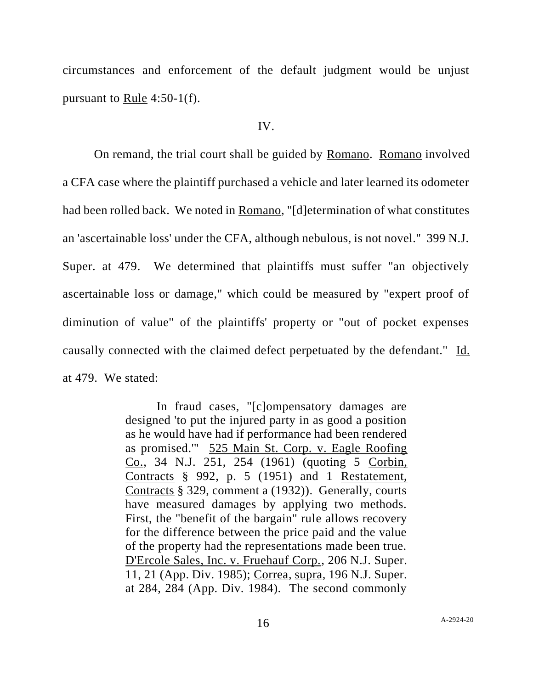circumstances and enforcement of the default judgment would be unjust pursuant to Rule 4:50-1(f).

### IV.

On remand, the trial court shall be guided by Romano. Romano involved a CFA case where the plaintiff purchased a vehicle and later learned its odometer had been rolled back. We noted in Romano, "[d]etermination of what constitutes an 'ascertainable loss' under the CFA, although nebulous, is not novel." 399 N.J. Super. at 479. We determined that plaintiffs must suffer "an objectively ascertainable loss or damage," which could be measured by "expert proof of diminution of value" of the plaintiffs' property or "out of pocket expenses causally connected with the claimed defect perpetuated by the defendant." Id. at 479. We stated:

> In fraud cases, "[c]ompensatory damages are designed 'to put the injured party in as good a position as he would have had if performance had been rendered as promised.'" 525 Main St. Corp. v. Eagle Roofing Co., 34 N.J. 251, 254 (1961) (quoting 5 Corbin, Contracts § 992, p. 5 (1951) and 1 Restatement, Contracts § 329, comment a (1932)). Generally, courts have measured damages by applying two methods. First, the "benefit of the bargain" rule allows recovery for the difference between the price paid and the value of the property had the representations made been true. D'Ercole Sales, Inc. v. Fruehauf Corp., 206 N.J. Super. 11, 21 (App. Div. 1985); Correa, supra, 196 N.J. Super. at 284, 284 (App. Div. 1984). The second commonly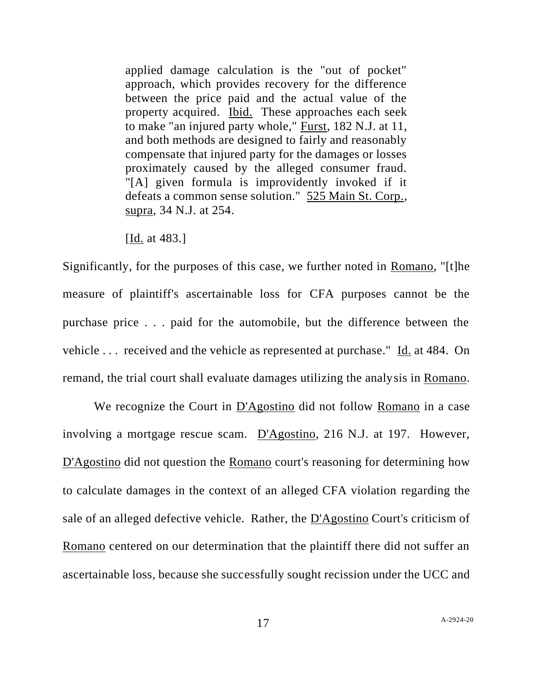applied damage calculation is the "out of pocket" approach, which provides recovery for the difference between the price paid and the actual value of the property acquired. Ibid. These approaches each seek to make "an injured party whole," Furst, 182 N.J. at 11, and both methods are designed to fairly and reasonably compensate that injured party for the damages or losses proximately caused by the alleged consumer fraud. "[A] given formula is improvidently invoked if it defeats a common sense solution." 525 Main St. Corp., supra, 34 N.J. at 254.

[Id. at 483.]

Significantly, for the purposes of this case, we further noted in Romano, "[t]he measure of plaintiff's ascertainable loss for CFA purposes cannot be the purchase price . . . paid for the automobile, but the difference between the vehicle . . . received and the vehicle as represented at purchase." Id. at 484. On remand, the trial court shall evaluate damages utilizing the analysis in Romano.

We recognize the Court in D'Agostino did not follow Romano in a case involving a mortgage rescue scam. D'Agostino, 216 N.J. at 197. However, D'Agostino did not question the Romano court's reasoning for determining how to calculate damages in the context of an alleged CFA violation regarding the sale of an alleged defective vehicle. Rather, the D'Agostino Court's criticism of Romano centered on our determination that the plaintiff there did not suffer an ascertainable loss, because she successfully sought recission under the UCC and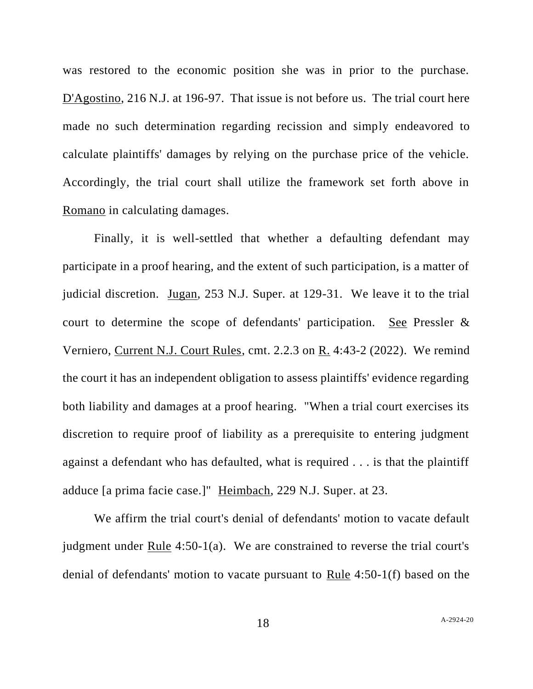was restored to the economic position she was in prior to the purchase. D'Agostino, 216 N.J. at 196-97. That issue is not before us. The trial court here made no such determination regarding recission and simply endeavored to calculate plaintiffs' damages by relying on the purchase price of the vehicle. Accordingly, the trial court shall utilize the framework set forth above in Romano in calculating damages.

Finally, it is well-settled that whether a defaulting defendant may participate in a proof hearing, and the extent of such participation, is a matter of judicial discretion. Jugan, 253 N.J. Super. at 129-31. We leave it to the trial court to determine the scope of defendants' participation. See Pressler & Verniero, Current N.J. Court Rules, cmt. 2.2.3 on R. 4:43-2 (2022). We remind the court it has an independent obligation to assess plaintiffs' evidence regarding both liability and damages at a proof hearing. "When a trial court exercises its discretion to require proof of liability as a prerequisite to entering judgment against a defendant who has defaulted, what is required . . . is that the plaintiff adduce [a prima facie case.]" Heimbach, 229 N.J. Super. at 23.

We affirm the trial court's denial of defendants' motion to vacate default judgment under Rule 4:50-1(a). We are constrained to reverse the trial court's denial of defendants' motion to vacate pursuant to Rule 4:50-1(f) based on the